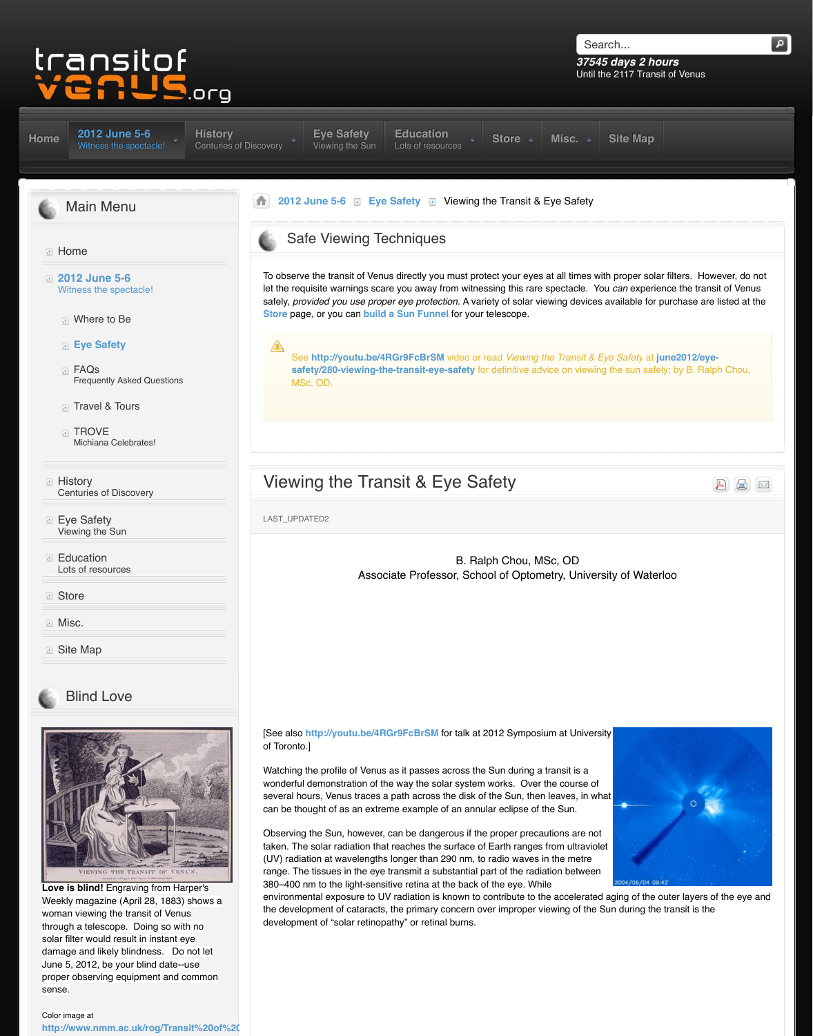- Travel & Tours
- **TROVE** Michiana Celebrates!
- **E** History Centuries of Discovery
- **Eye Safety** Vi[ewing the Sun](http://www.transitofvenus.org/june2012)
- **[Ed](http://www.transitofvenus.org/)ucation** Lots of resources
- **Store**
- **Misc.**
- **D** [Site Map](http://www.transitofvenus.org/)

## [Blind Love](http://www.transitofvenus.org/june2012)



**Love is blind!** Engraving from Harper's [Weekly magazine \(April 28, 1883\) shows a](http://www.transitofvenus.org/history) woman viewing the transit of Venus [through a telescope. Doing so with no](http://www.transitofvenus.org/june2012/eye-safety) solar filter would result in instant eye damage and likely blindness. Do not let June 5, 2012, be your blind date--use [proper observing equipment and common](http://www.transitofvenus.org/education) sense.

# Viewing the Transit & Eye Sa

LAST\_UPDATED2

[B. Ra](http://www.transitofvenus.org/education)l Associate Professor, Scho

[See also http://youtu.be/4RGr9FcBrSM for talk at 2012] of Toronto.]

Watching the profile of Venus as it passes across the wonderful demonstration of the way the solar system several hours, Venus traces a path across the disk of can be thought of as an extreme example of an annul

Observing the Sun, however, can be dangerous if the taken. The solar radiation that reaches the surface of (UV) radiation at wavelengths longer than 290 nm, to range. The tissues in the eye transmit a substantial part of the the random 380–400 nm to the light-sensitive retina at the back of environmental exposure to UV radiation is known to o the development of cataracts, the primary concern over development of "solar retinopathy" or retinal burns.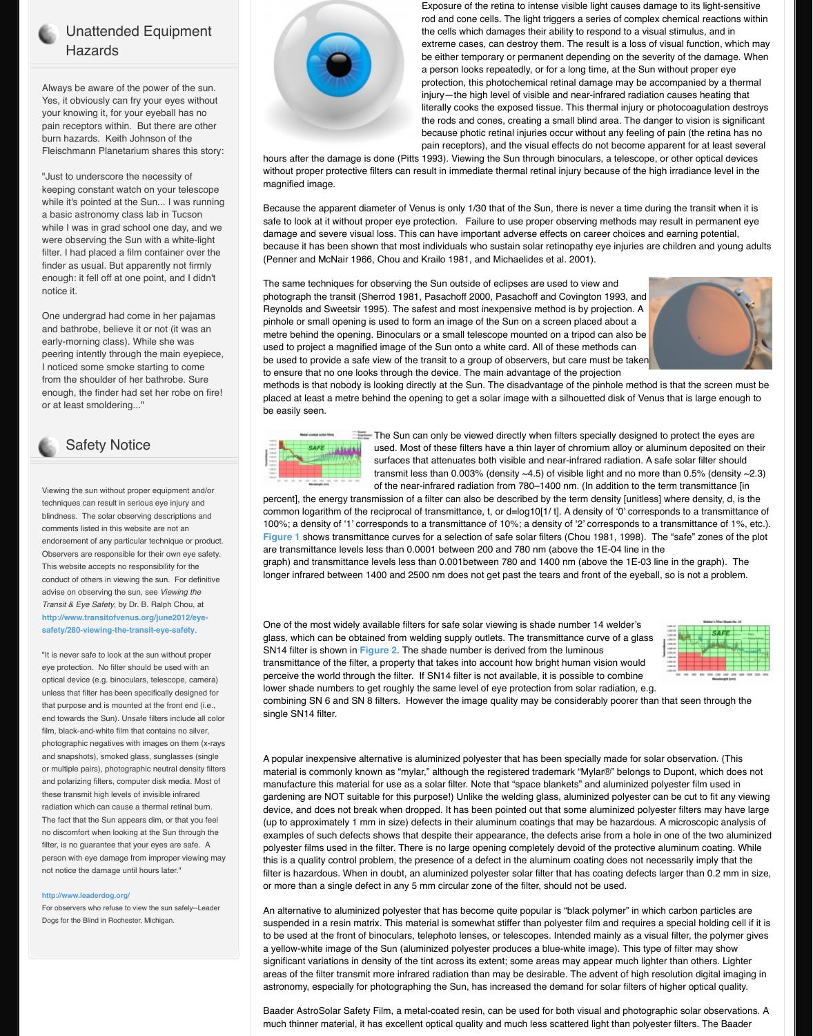#### or at least smoldering..."



### Safety Notice

Viewing the sun without proper equipment and/or techniques can result in serious eye injury and blindness. The solar observing descriptions and comments listed in this website are not an endorsement of any particular technique or product. Observers are responsible for their own eye safety. This website accepts no responsibility for the conduct of others in viewing the sun. For definitive advise on observing the sun, see *Viewing the Transit & Eye Safety*, by Dr. B. Ralph Chou, at **http://www.transitofvenus.org/june2012/eyesafety/280-viewing-the-transit-eye-safety**.

"It is never safe to look at the sun without proper eye protection. No filter should be used with an optical device (e.g. binoculars, telescope, camera) unless that filter has been specifically designed for that purpose and is mounted at the front end (i.e., end towards the Sun). Unsafe filters include all color film, black-and-white film that contains no silver, photographic negatives with images on them (x-rays and snapshots), smoked glass, sunglasses (single or multiple pairs), photographic neutral density filters and polarizing filters, computer disk media. Most of these transmit high levels of invisible infrared radiation which can cause a thermal retinal burn. The fact that the Sun appears dim, or that you feel no discomfort when looking at the Sun through the filter, is no guarantee that your eyes are safe. A person with eye damage from improper viewing may not notice the damage until hours later."

#### **http://www.leaderdog.org/**

For observers who refuse to view the sun safely--Leader Dogs for the Blind in Rochester, Michigan.

#### be easily seen.



 $\blacksquare$  The Sun can only be viewe used. Most of these filters surfaces that attenuates beth visible and neartransmit less than  $0.003%$ of the near-infrared radiation

percent], the energy transmission of a filter can also b common logarithm of the reciprocal of transmittance, 100%; a density of '1' corresponds to a transmittance **Figure 1** shows transmittance curves for a selection are transmittance levels less than 0.0001 between 20 graph) and transmittance levels less than 0.001 between 780 and 1400 nm in the 1900 nm  $\mu$ longer infrared between 1400 and 2500 nm does not

One of the most widely available filters for safe solar glass, which can be obtained from welding supply ou SN14 filter is shown in **Figure 2**. The shade number transmittance of the filter, a property that takes into a perceive the world through the filter. If SN14 filter is a lower shade numbers to get roughly the same level of eye protection from  $\alpha$ combining SN 6 and SN 8 filters. However the image single SN14 filter.

A popular inexpensive alternative is aluminized polye material is commonly known as "mylar," although the manufacture this material for use as a solar filter. Not gardening are NOT suitable for this purpose!) Unlike device, and does not break when dropped. It has been pointed allergies (up to approximately 1 mm in size) defects in their aluminum coatings that  $\alpha$  m examples of such defects shows that despite their ap polyester films used in the filter. There is no large opening completely protective allemnation and the protection this is a quality control problem, the presence of a de filter is hazardous. When in doubt, an aluminized poly or more than a single defect in any 5 mm circular zor

An alternative to aluminized polyester that has becone suspended in a resin matrix. This material is somewh to be used at the front of binoculars, telephoto lenses [a yellow-w](http://www.transitofvenus.org/june2012/eye-safety/280-viewing-the-transit-eye-safety#Figure%201)hite image of the Sun (aluminized polyeste significant variations in density of the tint across its extendion areas of the filter transmit more infrared radiation tha astronomy, especially for photographing the Sun, has

Baader AstroSolar Safety Film, a metal-coated resin, much thinner material, it has excellent optical quality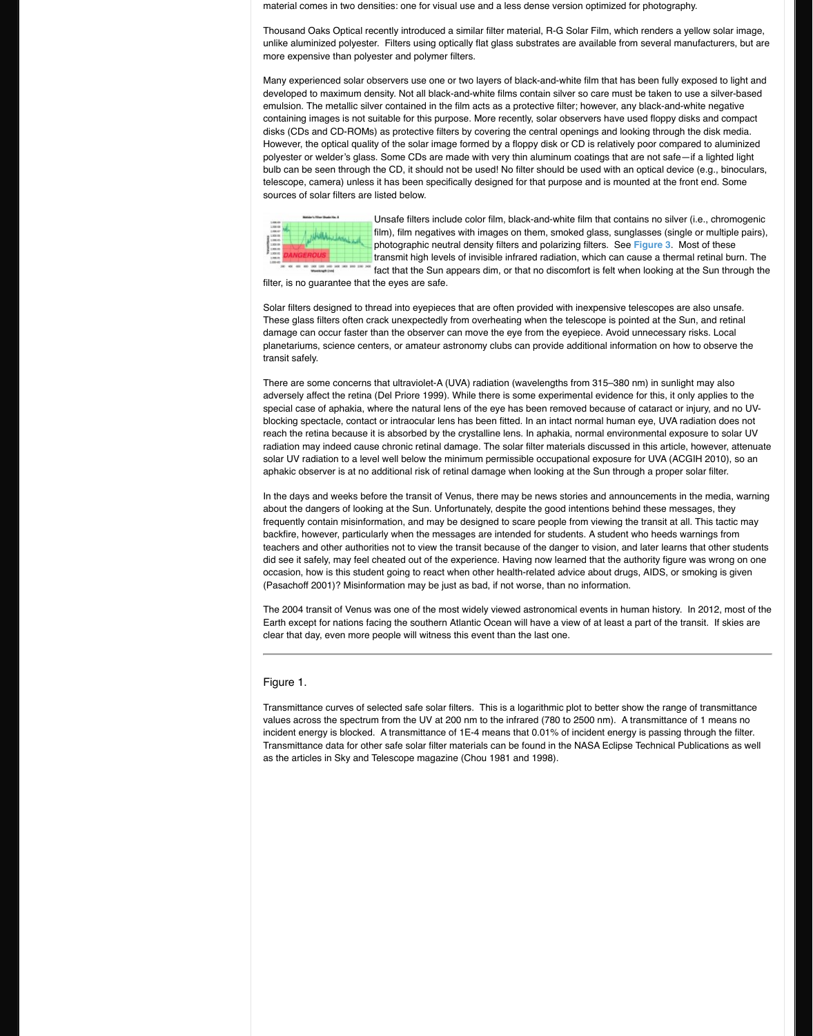special case of aphakia, where the natural lens of the blocking spectacle, contact or intraocular lens has be reach the retina because it is absorbed by the crystal radiation may indeed cause chronic retinal damage. solar UV radiation to a level well below the minimum aphakic observer is at no additional risk of retinal dan

In the days and weeks before the transit of Venus, there may be news and weeks before the transit of Venus, th about the dangers of looking at the Sun. Unfortunate frequently contain misinformation, and may be designed transit at all. The transit at all. The transit at all. This tactic may be designed to scare from viewing the transit and the transit at all. The transit at all. The t backfire, however, particularly when the messages a teachers and other authorities not to view the transit did see it safely, may feel cheated out of the experier occasion, how is this student going to react when other advice and alleated and and  $\alpha$ (Pasachoff 2001)? Misinformation may be just as bad

The 2004 transit of Venus was one of the most widely Earth except for nations facing the southern Atlantic clear that day, even more people will witness this eve.

Figure 1.

Transmittance curves of selected safe solar filters. This is a logarithmic plot to be range  $\overline{\phantom{a}}$ values across the spectrum from the UV at 200 nm to incident energy is blocked. A transmittance of  $1E-4$  region Transmittance data for other safe solar filter materials as the articles in Sky and Telescope magazine (Chou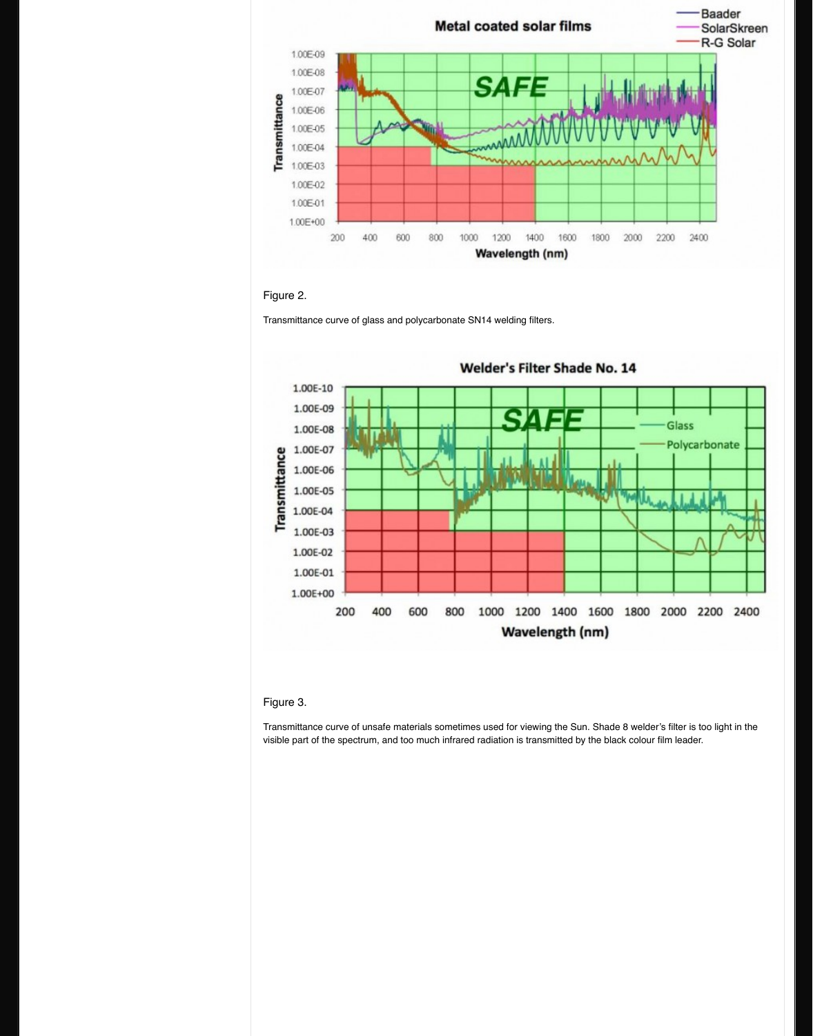

### Figure 3.

Transmittance curve of unsafe materials sometimes used for viewing the Sun. Shade 8 well visible part of the spectrum, and too much infrared ra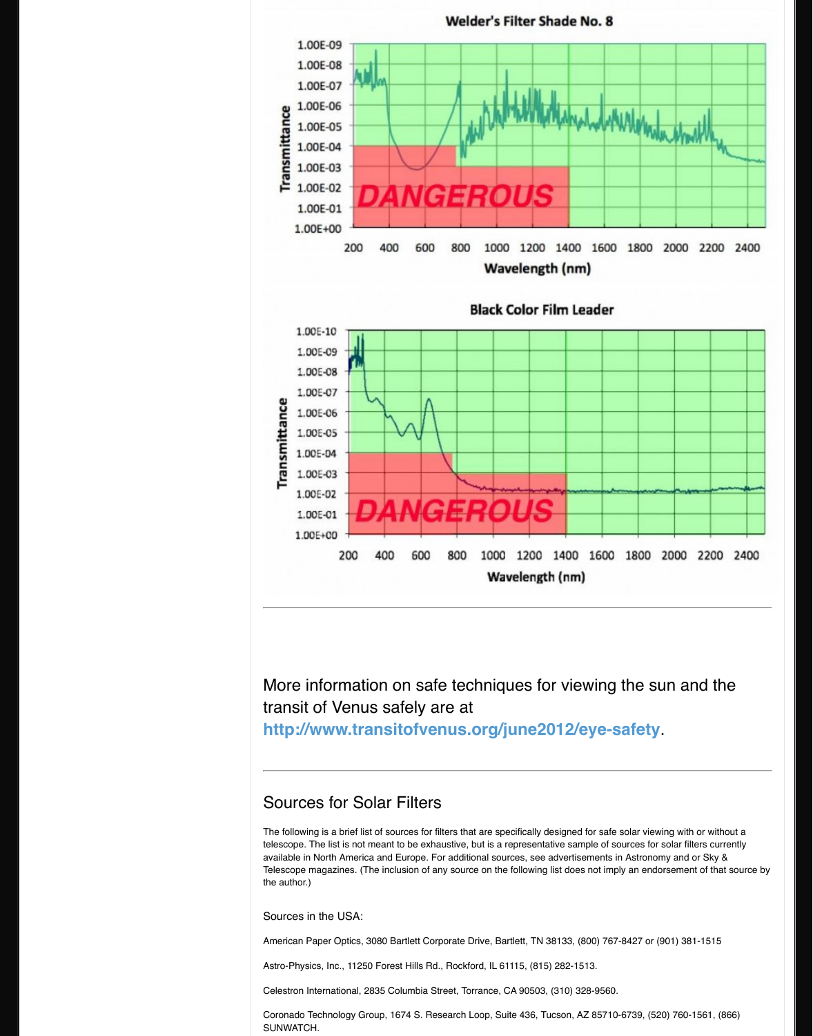

More information on safe tech transit of Venus safely are at http://www.transitofvenus.org

# Sources for Solar Filters

The following is a brief list of sources for filters that a telescope. The list is not meant to be exhaustive, but available in North America and Europe. For additional Telescope magazines. (The inclusion of any source on the author.)

Sources in the USA:

American Paper Optics, 3080 Bartlett Corporate Driv

Astro-Physics, Inc., 11250 Forest Hills Rd., Rockford

Celestron International, 2835 Columbia Street, Torrar

Coronado Technology Group, 1674 S. Research Loo SUNWATCH.